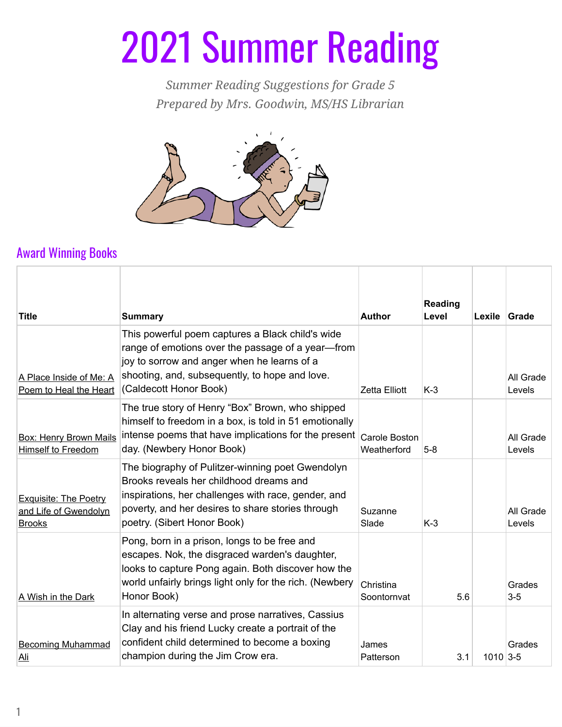## 2021 Summer Reading

*Summer Reading Suggestions for Grade 5 Prepared by Mrs. Goodwin, MS/HS Librarian*



## Award Winning Books

| <b>Title</b>                                                           | <b>Summary</b>                                                                                                                                                                                                                         | <b>Author</b>                | <b>Reading</b><br>Level | Lexile     | Grade               |
|------------------------------------------------------------------------|----------------------------------------------------------------------------------------------------------------------------------------------------------------------------------------------------------------------------------------|------------------------------|-------------------------|------------|---------------------|
| A Place Inside of Me: A<br>Poem to Heal the Heart                      | This powerful poem captures a Black child's wide<br>range of emotions over the passage of a year-from<br>joy to sorrow and anger when he learns of a<br>shooting, and, subsequently, to hope and love.<br>(Caldecott Honor Book)       | <b>Zetta Elliott</b>         | $K-3$                   |            | All Grade<br>Levels |
| <b>Box: Henry Brown Mails</b><br>Himself to Freedom                    | The true story of Henry "Box" Brown, who shipped<br>himself to freedom in a box, is told in 51 emotionally<br>intense poems that have implications for the present<br>day. (Newbery Honor Book)                                        | Carole Boston<br>Weatherford | $5-8$                   |            | All Grade<br>Levels |
| <b>Exquisite: The Poetry</b><br>and Life of Gwendolyn<br><b>Brooks</b> | The biography of Pulitzer-winning poet Gwendolyn<br>Brooks reveals her childhood dreams and<br>inspirations, her challenges with race, gender, and<br>poverty, and her desires to share stories through<br>poetry. (Sibert Honor Book) | Suzanne<br>Slade             | $K-3$                   |            | All Grade<br>Levels |
| A Wish in the Dark                                                     | Pong, born in a prison, longs to be free and<br>escapes. Nok, the disgraced warden's daughter,<br>looks to capture Pong again. Both discover how the<br>world unfairly brings light only for the rich. (Newbery<br>Honor Book)         | Christina<br>Soontornvat     | 5.6                     |            | Grades<br>$3-5$     |
| <b>Becoming Muhammad</b><br><u>Ali</u>                                 | In alternating verse and prose narratives, Cassius<br>Clay and his friend Lucky create a portrait of the<br>confident child determined to become a boxing<br>champion during the Jim Crow era.                                         | James<br>Patterson           | 3.1                     | $1010$ 3-5 | Grades              |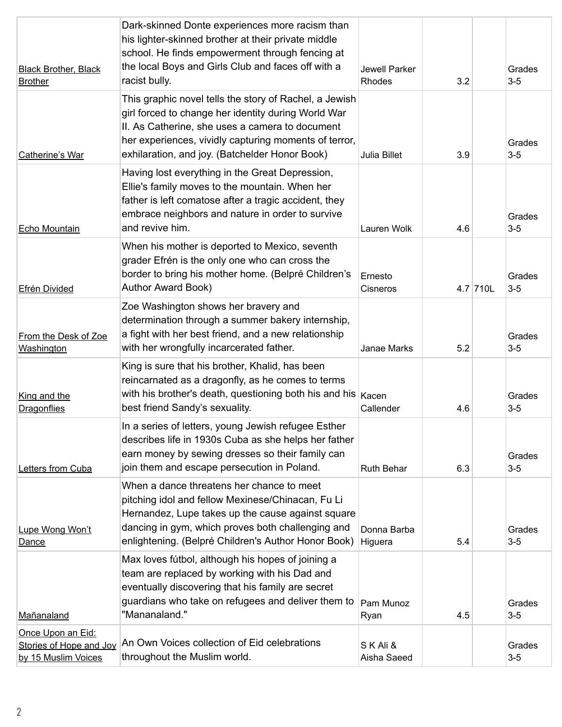| <b>Black Brother, Black</b><br><b>Brother</b>                       | Dark-skinned Donte experiences more racism than<br>his lighter-skinned brother at their private middle<br>school. He finds empowerment through fencing at<br>the local Boys and Girls Club and faces off with a<br>racist bully.                                            | Jewell Parker<br><b>Rhodes</b> | 3.2 |          | Grades<br>$3-5$   |
|---------------------------------------------------------------------|-----------------------------------------------------------------------------------------------------------------------------------------------------------------------------------------------------------------------------------------------------------------------------|--------------------------------|-----|----------|-------------------|
| Catherine's War                                                     | This graphic novel tells the story of Rachel, a Jewish<br>girl forced to change her identity during World War<br>II. As Catherine, she uses a camera to document<br>her experiences, vividly capturing moments of terror,<br>exhilaration, and joy. (Batchelder Honor Book) | <b>Julia Billet</b>            | 3.9 |          | Grades<br>$3-5$   |
| Echo Mountain                                                       | Having lost everything in the Great Depression,<br>Ellie's family moves to the mountain. When her<br>father is left comatose after a tragic accident, they<br>embrace neighbors and nature in order to survive<br>and revive him.                                           | Lauren Wolk                    | 4.6 |          | Grades<br>$3 - 5$ |
| <b>Efrén Divided</b>                                                | When his mother is deported to Mexico, seventh<br>grader Efrén is the only one who can cross the<br>border to bring his mother home. (Belpré Children's<br><b>Author Award Book)</b>                                                                                        | Ernesto<br>Cisneros            |     | 4.7 710L | Grades<br>$3-5$   |
| From the Desk of Zoe<br>Washington                                  | Zoe Washington shows her bravery and<br>determination through a summer bakery internship,<br>a fight with her best friend, and a new relationship<br>with her wrongfully incarcerated father.                                                                               | <b>Janae Marks</b>             | 5.2 |          | Grades<br>$3-5$   |
| King and the<br><b>Dragonflies</b>                                  | King is sure that his brother, Khalid, has been<br>reincarnated as a dragonfly, as he comes to terms<br>with his brother's death, questioning both his and his $ $ Kacen<br>best friend Sandy's sexuality.                                                                  | Callender                      | 4.6 |          | Grades<br>$3-5$   |
| Letters from Cuba                                                   | In a series of letters, young Jewish refugee Esther<br>describes life in 1930s Cuba as she helps her father<br>earn money by sewing dresses so their family can<br>join them and escape persecution in Poland.                                                              | <b>Ruth Behar</b>              | 6.3 |          | Grades<br>$3-5$   |
| Lupe Wong Won't<br>Dance                                            | When a dance threatens her chance to meet<br>pitching idol and fellow Mexinese/Chinacan, Fu Li<br>Hernandez, Lupe takes up the cause against square<br>dancing in gym, which proves both challenging and<br>enlightening. (Belpré Children's Author Honor Book)             | Donna Barba<br>Higuera         | 5.4 |          | Grades<br>$3-5$   |
| Mañanaland                                                          | Max loves fútbol, although his hopes of joining a<br>team are replaced by working with his Dad and<br>eventually discovering that his family are secret<br>guardians who take on refugees and deliver them to<br>"Mananaland."                                              | Pam Munoz<br>Ryan              | 4.5 |          | Grades<br>$3-5$   |
| Once Upon an Eid:<br>Stories of Hope and Joy<br>by 15 Muslim Voices | An Own Voices collection of Eid celebrations<br>throughout the Muslim world.                                                                                                                                                                                                | SKAli &<br>Aisha Saeed         |     |          | Grades<br>$3-5$   |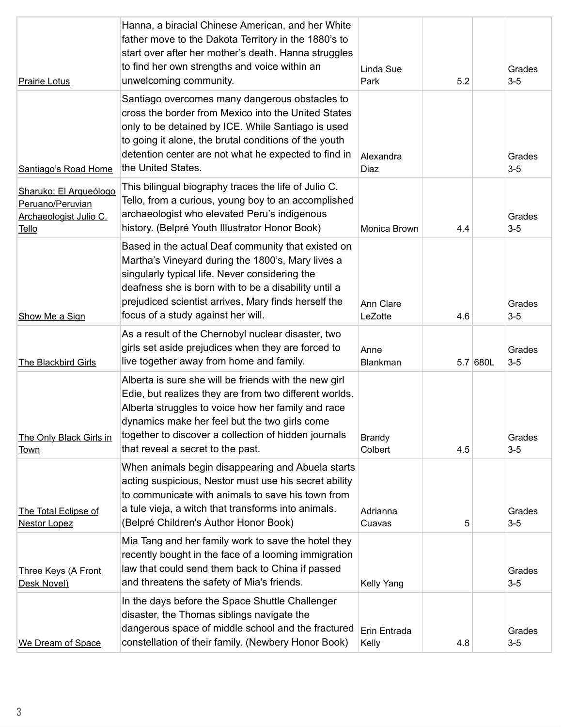| <b>Prairie Lotus</b>                                                          | Hanna, a biracial Chinese American, and her White<br>father move to the Dakota Territory in the 1880's to<br>start over after her mother's death. Hanna struggles<br>to find her own strengths and voice within an<br>unwelcoming community.                                                                        | Linda Sue<br>Park        | 5.2 |          | Grades<br>$3-5$ |
|-------------------------------------------------------------------------------|---------------------------------------------------------------------------------------------------------------------------------------------------------------------------------------------------------------------------------------------------------------------------------------------------------------------|--------------------------|-----|----------|-----------------|
| Santiago's Road Home                                                          | Santiago overcomes many dangerous obstacles to<br>cross the border from Mexico into the United States<br>only to be detained by ICE. While Santiago is used<br>to going it alone, the brutal conditions of the youth<br>detention center are not what he expected to find in<br>the United States.                  | Alexandra<br>Diaz        |     |          | Grades<br>$3-5$ |
| Sharuko: El Arqueólogo<br>Peruano/Peruvian<br>Archaeologist Julio C.<br>Tello | This bilingual biography traces the life of Julio C.<br>Tello, from a curious, young boy to an accomplished<br>archaeologist who elevated Peru's indigenous<br>history. (Belpré Youth Illustrator Honor Book)                                                                                                       | Monica Brown             | 4.4 |          | Grades<br>$3-5$ |
| Show Me a Sign                                                                | Based in the actual Deaf community that existed on<br>Martha's Vineyard during the 1800's, Mary lives a<br>singularly typical life. Never considering the<br>deafness she is born with to be a disability until a<br>prejudiced scientist arrives, Mary finds herself the<br>focus of a study against her will.     | Ann Clare<br>LeZotte     | 4.6 |          | Grades<br>$3-5$ |
| The Blackbird Girls                                                           | As a result of the Chernobyl nuclear disaster, two<br>girls set aside prejudices when they are forced to<br>live together away from home and family.                                                                                                                                                                | Anne<br><b>Blankman</b>  |     | 5.7 680L | Grades<br>$3-5$ |
| The Only Black Girls in<br>Town                                               | Alberta is sure she will be friends with the new girl<br>Edie, but realizes they are from two different worlds.<br>Alberta struggles to voice how her family and race<br>dynamics make her feel but the two girls come<br>together to discover a collection of hidden journals<br>that reveal a secret to the past. | <b>Brandy</b><br>Colbert | 4.5 |          | Grades<br>$3-5$ |
| The Total Eclipse of<br><b>Nestor Lopez</b>                                   | When animals begin disappearing and Abuela starts<br>acting suspicious, Nestor must use his secret ability<br>to communicate with animals to save his town from<br>a tule vieja, a witch that transforms into animals.<br>(Belpré Children's Author Honor Book)                                                     | Adrianna<br>Cuavas       | 5   |          | Grades<br>$3-5$ |
| Three Keys (A Front<br>Desk Novel)                                            | Mia Tang and her family work to save the hotel they<br>recently bought in the face of a looming immigration<br>law that could send them back to China if passed<br>and threatens the safety of Mia's friends.                                                                                                       | Kelly Yang               |     |          | Grades<br>$3-5$ |
| We Dream of Space                                                             | In the days before the Space Shuttle Challenger<br>disaster, the Thomas siblings navigate the<br>dangerous space of middle school and the fractured<br>constellation of their family. (Newbery Honor Book)                                                                                                          | Erin Entrada<br>Kelly    | 4.8 |          | Grades<br>$3-5$ |